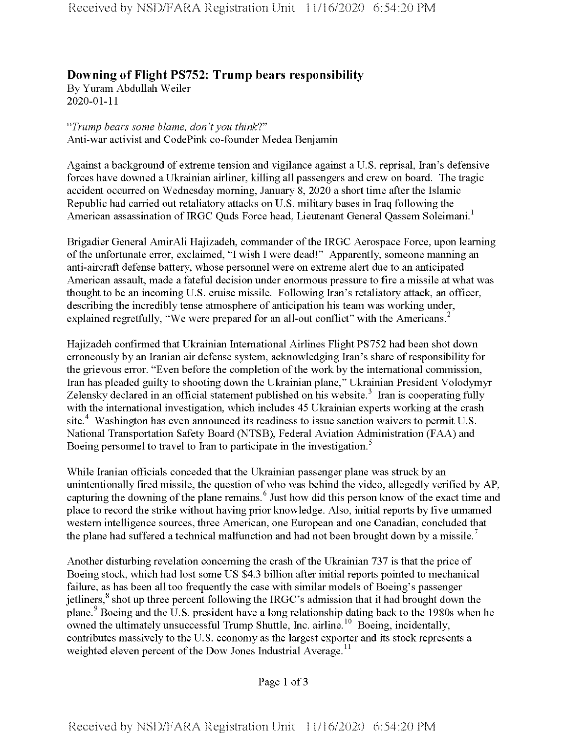## **Downing ofFlight PS752: Trump bears responsibility**

By Yuram Abdullah Weiler 2020-01-11

*"Trump bears some blame, don'tyou think?"* Anti-war activist and CodePink co-founder Medea Benjamin

Against a background of extreme tension and vigilance against a U.S. reprisal, Iran's defensive forces have downed a Ukrainian airliner, killing all passengers and crew on board. The tragic accident occurred on Wednesday morning, January 8, 2020 a short time after the Islamic Republic had carried out retaliatory attacks on U.S. military bases in Iraq following the American assassination of IRGC Quds Force head, Lieutenant General Qassem Soleimani.<sup>1</sup>

Brigadier General AmirAli Hajizadeh, commander of the IRGC Aerospace Force, upon learning of the unfortunate error, exclaimed, "I wish I were dead!" Apparently, someone manning an anti-aircraft defense battery, whose personnel were on extreme alert due to an anticipated American assault, made a fateful decision under enormous pressure to fire a missile at what was thought to be an incoming U.S. cruise missile. Following Iran's retaliatory attack, an officer, describing the incredibly tense atmosphere of anticipation his team was working under, explained regretfully, "We were prepared for an all-out conflict" with the Americans.<sup>2</sup>

Hajizadeh confirmed that Ukrainian International Airlines Flight PS752 had been shot down erroneously by an Iranian air defense system, acknowledging Iran's share ofresponsibility for the grievous error. "Even before the completion of the work by the international commission, Iran has pleaded guilty to shooting down the Ukrainian plane," Ukrainian President Volodymyr Zelensky declared in an official statement published on his website.<sup>3</sup> Iran is cooperating fully with the international investigation, which includes 45 Ukrainian experts working at the crash site.<sup>4</sup> Washington has even announced its readiness to issue sanction waivers to permit U.S. National Transportation Safety Board (NTSB), Federal Aviation Administration (FAA) and Boeing personnel to travel to Iran to participate in the investigation.<sup>5</sup>

While Iranian officials conceded that the Ukrainian passenger plane was struck by an unintentionally fired missile, the question of who was behind the video, allegedly verified by AP, capturing the downing of the plane remains.<sup>6</sup> Just how did this person know of the exact time and place to record the strike without having prior knowledge. Also, initial reports by five unnamed western intelligence sources, three American, one European and one Canadian, concluded that the plane had suffered a technical malfunction and had not been brought down by a missile.<sup>7</sup>

Another disturbing revelation concerning the crash of the Ukrainian 737 is that the price of Boeing stock, which had lost some US \$4.3 billion after initial reports pointed to mechanical failure, as has been all too frequently the case with similar models of Boeing's passenger jetliners,<sup>8</sup> shot up three percent following the IRGC's admission that it had brought down the plane.9 Boeing and the U.S. president have a long relationship dating back to the 1980s when he owned the ultimately unsuccessful Trump Shuttle, Inc. airline.<sup>10</sup> Boeing, incidentally, contributes massively to the U.S. economy as the largest exporter and its stock represents a weighted eleven percent of the Dow Jones Industrial Average.<sup>11</sup>

Page 1 of 3

**Received by NSD/FARA Registration Unit 11/16/2020 6:54:20 PM**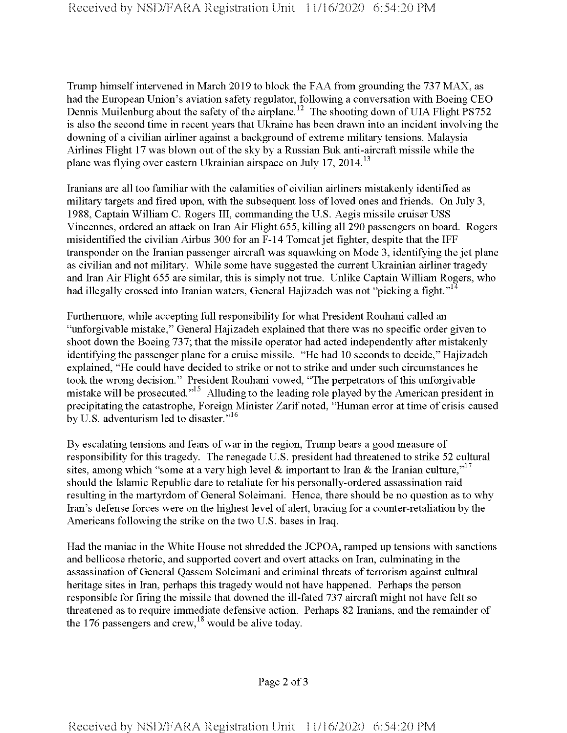Trump himself intervened in March 2019 to block the FAA from grounding the 737 MAX, as had the European Union's aviation safety regulator, following a conversation with Boeing CEO Dennis Muilenburg about the safety of the airplane.<sup>12</sup> The shooting down of UIA Flight PS752 is also the second time in recent years that Ukraine has been drawn into an incident involving the downing of a civilian airliner against a background of extreme military tensions. Malaysia Airlines Flight 17 was blown out ofthe sky by a Russian Buk anti-aircraft missile while the plane was flying over eastern Ukrainian airspace on July 17, 2014.<sup>13</sup>

Iranians are all too familiar with the calamities of civilian airliners mistakenly identified as military targets and fired upon, with the subsequent loss of loved ones and friends. On July 3, 1988, Captain William C. Rogers III, commanding the U.S. Aegis missile cruiser USS Vincennes, ordered an attack on Iran Air Flight 655, killing all 290 passengers on board. Rogers misidentified the civilian Airbus 300 for an F-14 Tomcat jet fighter, despite that the IFF transponder on the Iranian passenger aircraft was squawking on Mode 3, identifying the jet plane as civilian and not military. While some have suggested the current Ukrainian airliner tragedy and Iran Air Flight 655 are similar, this is simply not true. Unlike Captain William Rogers, who had illegally crossed into Iranian waters, General Hajizadeh was not "picking a fight."<sup>14</sup>

Furthermore, while accepting full responsibility for what President Rouhani called an "unforgivable mistake," General Hajizadeh explained that there was no specific order given to shoot down the Boeing 737; that the missile operator had acted independently after mistakenly identifying the passenger plane for a cruise missile. "He had 10 seconds to decide," Hajizadeh explained, "He could have decided to strike or not to strike and under such circumstances he took the wrong decision." President Rouhani vowed, "The perpetrators of this unforgivable mistake will be prosecuted."<sup>15</sup> Alluding to the leading role played by the American president in precipitating the catastrophe, Foreign Minister Zarif noted, "Human error at time of crisis caused by U.S. adventurism led to disaster."<sup>16</sup>

By escalating tensions and fears ofwar in the region, Trump bears a good measure of responsibility for this tragedy. The renegade U.S. president had threatened to strike 52 cultural sites, among which "some at a very high level & important to Iran & the Iranian culture."<sup>17</sup> should the Islamic Republic dare to retaliate for his personally-ordered assassination raid resulting in the martyrdom of General Soleimani. Hence, there should be no question as to why Iran's defense forces were on the highest level of alert, bracing for a counter-retaliation by the Americans following the strike on the two U.S. bases in Iraq.

Had the maniac in the White House not shredded the JCPOA, ramped up tensions with sanctions and bellicose rhetoric, and supported covert and overt attacks on Iran, culminating in the assassination of General Qassem Soleimani and criminal threats of terrorism against cultural heritage sites in Iran, perhaps this tragedy would not have happened. Perhaps the person responsible for firing the missile that downed the ill-fated 737 aircraft might not have felt so threatened as to require immediate defensive action. Perhaps 82 Iranians, and the remainder of the 176 passengers and crew,  $^{18}$  would be alive today.

Page 2 of <sup>3</sup>